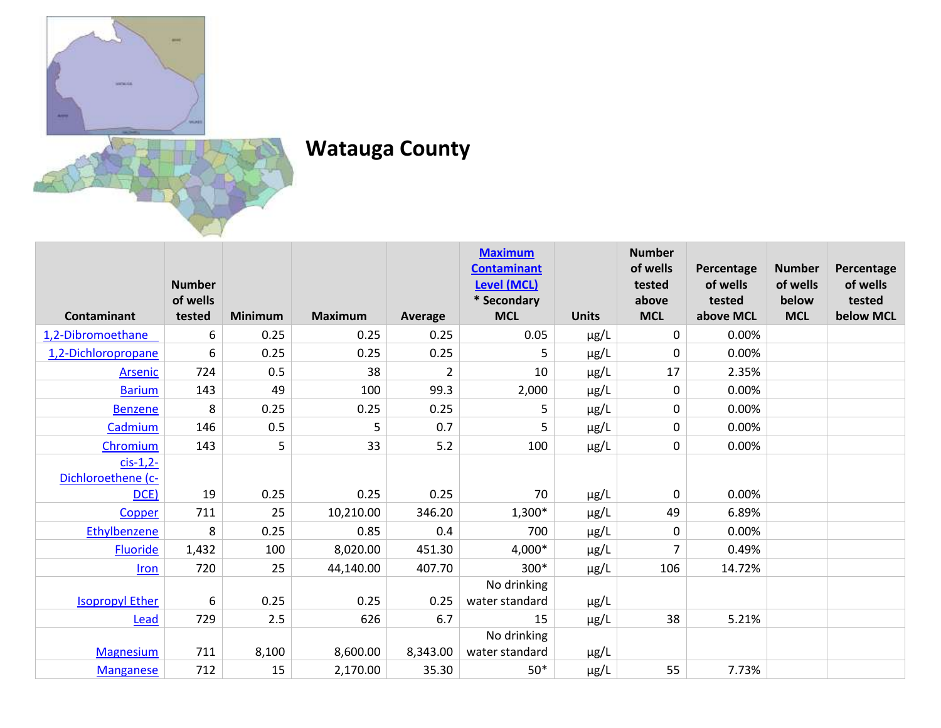

## **Watauga County**

|                        |               |                |                |          | <b>Maximum</b>                    |              | <b>Number</b>   |                        |                           |                    |
|------------------------|---------------|----------------|----------------|----------|-----------------------------------|--------------|-----------------|------------------------|---------------------------|--------------------|
|                        | <b>Number</b> |                |                |          | <b>Contaminant</b>                |              | of wells        | Percentage<br>of wells | <b>Number</b><br>of wells | Percentage         |
|                        | of wells      |                |                |          | <b>Level (MCL)</b><br>* Secondary |              | tested<br>above | tested                 | below                     | of wells<br>tested |
| <b>Contaminant</b>     | tested        | <b>Minimum</b> | <b>Maximum</b> | Average  | <b>MCL</b>                        | <b>Units</b> | <b>MCL</b>      | above MCL              | <b>MCL</b>                | below MCL          |
| 1,2-Dibromoethane      | 6             | 0.25           | 0.25           | 0.25     | 0.05                              | $\mu$ g/L    | 0               | 0.00%                  |                           |                    |
| 1,2-Dichloropropane    | 6             | 0.25           | 0.25           | 0.25     | 5                                 | μg/L         | 0               | 0.00%                  |                           |                    |
| Arsenic                | 724           | 0.5            | 38             | 2        | 10                                | $\mu$ g/L    | 17              | 2.35%                  |                           |                    |
| <b>Barium</b>          | 143           | 49             | 100            | 99.3     | 2,000                             | $\mu$ g/L    | 0               | 0.00%                  |                           |                    |
| <b>Benzene</b>         | 8             | 0.25           | 0.25           | 0.25     | 5                                 | $\mu$ g/L    | 0               | 0.00%                  |                           |                    |
| Cadmium                | 146           | 0.5            | 5              | 0.7      | 5                                 | $\mu$ g/L    | 0               | 0.00%                  |                           |                    |
| Chromium               | 143           | 5              | 33             | 5.2      | 100                               | $\mu$ g/L    | 0               | 0.00%                  |                           |                    |
| $cis-1,2-$             |               |                |                |          |                                   |              |                 |                        |                           |                    |
| Dichloroethene (c-     |               |                |                |          |                                   |              |                 |                        |                           |                    |
| DCE)                   | 19            | 0.25           | 0.25           | 0.25     | 70                                | $\mu$ g/L    | 0               | 0.00%                  |                           |                    |
| Copper                 | 711           | 25             | 10,210.00      | 346.20   | $1,300*$                          | $\mu$ g/L    | 49              | 6.89%                  |                           |                    |
| Ethylbenzene           | 8             | 0.25           | 0.85           | 0.4      | 700                               | $\mu$ g/L    | 0               | 0.00%                  |                           |                    |
| <b>Fluoride</b>        | 1,432         | 100            | 8,020.00       | 451.30   | 4,000*                            | $\mu$ g/L    | 7               | 0.49%                  |                           |                    |
| <b>Iron</b>            | 720           | 25             | 44,140.00      | 407.70   | 300*                              | $\mu$ g/L    | 106             | 14.72%                 |                           |                    |
|                        |               |                |                |          | No drinking                       |              |                 |                        |                           |                    |
| <b>Isopropyl Ether</b> | 6             | 0.25           | 0.25           | 0.25     | water standard                    | $\mu$ g/L    |                 |                        |                           |                    |
| Lead                   | 729           | 2.5            | 626            | 6.7      | 15                                | µg/L         | 38              | 5.21%                  |                           |                    |
|                        |               |                |                |          | No drinking                       |              |                 |                        |                           |                    |
| <b>Magnesium</b>       | 711           | 8,100          | 8,600.00       | 8,343.00 | water standard                    | $\mu$ g/L    |                 |                        |                           |                    |
| <b>Manganese</b>       | 712           | 15             | 2,170.00       | 35.30    | $50*$                             | $\mu$ g/L    | 55              | 7.73%                  |                           |                    |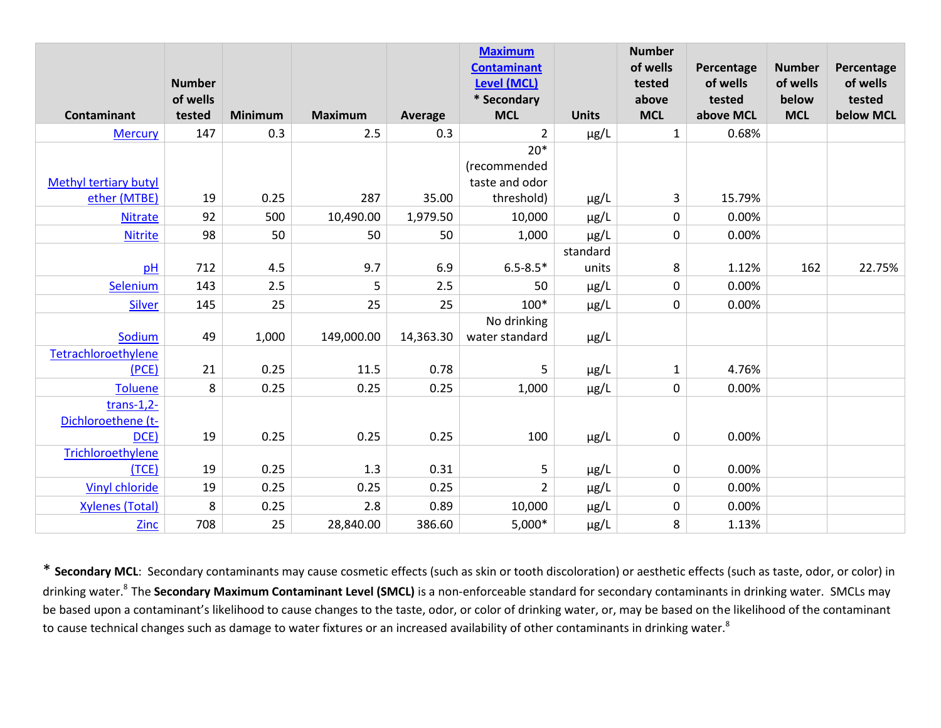|                              | <b>Number</b> |                |                |           | <b>Maximum</b><br><b>Contaminant</b><br><b>Level (MCL)</b> |              | <b>Number</b><br>of wells<br>tested | Percentage<br>of wells | <b>Number</b><br>of wells | Percentage<br>of wells |
|------------------------------|---------------|----------------|----------------|-----------|------------------------------------------------------------|--------------|-------------------------------------|------------------------|---------------------------|------------------------|
|                              | of wells      |                |                |           | * Secondary                                                |              | above                               | tested                 | below                     | tested                 |
| Contaminant                  | tested        | <b>Minimum</b> | <b>Maximum</b> | Average   | <b>MCL</b>                                                 | <b>Units</b> | <b>MCL</b>                          | above MCL              | <b>MCL</b>                | below MCL              |
| <b>Mercury</b>               | 147           | 0.3            | 2.5            | 0.3       | $\overline{2}$                                             | $\mu$ g/L    | $\mathbf{1}$                        | 0.68%                  |                           |                        |
|                              |               |                |                |           | $20*$                                                      |              |                                     |                        |                           |                        |
|                              |               |                |                |           | (recommended                                               |              |                                     |                        |                           |                        |
| <b>Methyl tertiary butyl</b> |               |                |                |           | taste and odor                                             |              |                                     |                        |                           |                        |
| ether (MTBE)                 | 19            | 0.25           | 287            | 35.00     | threshold)                                                 | $\mu$ g/L    | 3                                   | 15.79%                 |                           |                        |
| <b>Nitrate</b>               | 92            | 500            | 10,490.00      | 1,979.50  | 10,000                                                     | $\mu$ g/L    | $\pmb{0}$                           | 0.00%                  |                           |                        |
| <b>Nitrite</b>               | 98            | 50             | 50             | 50        | 1,000                                                      | $\mu$ g/L    | $\pmb{0}$                           | 0.00%                  |                           |                        |
|                              |               |                |                |           |                                                            | standard     |                                     |                        |                           |                        |
| pH                           | 712           | 4.5            | 9.7            | 6.9       | $6.5 - 8.5*$                                               | units        | 8                                   | 1.12%                  | 162                       | 22.75%                 |
| Selenium                     | 143           | 2.5            | 5              | 2.5       | 50                                                         | $\mu$ g/L    | $\pmb{0}$                           | 0.00%                  |                           |                        |
| <b>Silver</b>                | 145           | 25             | 25             | 25        | 100*                                                       | $\mu$ g/L    | $\pmb{0}$                           | 0.00%                  |                           |                        |
|                              |               |                |                |           | No drinking                                                |              |                                     |                        |                           |                        |
| Sodium                       | 49            | 1,000          | 149,000.00     | 14,363.30 | water standard                                             | $\mu$ g/L    |                                     |                        |                           |                        |
| Tetrachloroethylene          |               |                |                |           |                                                            |              |                                     |                        |                           |                        |
| (PCE)                        | 21            | 0.25           | 11.5           | 0.78      | 5                                                          | µg/L         | $\mathbf{1}$                        | 4.76%                  |                           |                        |
| <b>Toluene</b>               | 8             | 0.25           | 0.25           | 0.25      | 1,000                                                      | $\mu$ g/L    | $\pmb{0}$                           | 0.00%                  |                           |                        |
| trans- $1,2-$                |               |                |                |           |                                                            |              |                                     |                        |                           |                        |
| Dichloroethene (t-           |               |                |                |           |                                                            |              |                                     |                        |                           |                        |
| DCE)                         | 19            | 0.25           | 0.25           | 0.25      | 100                                                        | $\mu$ g/L    | $\pmb{0}$                           | 0.00%                  |                           |                        |
| Trichloroethylene            |               |                |                |           |                                                            |              |                                     |                        |                           |                        |
| (TCE)                        | 19            | 0.25           | 1.3            | 0.31      | 5                                                          | µg/L         | 0                                   | 0.00%                  |                           |                        |
| <b>Vinyl chloride</b>        | 19            | 0.25           | 0.25           | 0.25      | $\overline{2}$                                             | $\mu$ g/L    | $\pmb{0}$                           | 0.00%                  |                           |                        |
| <b>Xylenes (Total)</b>       | $\,8\,$       | 0.25           | 2.8            | 0.89      | 10,000                                                     | $\mu$ g/L    | 0                                   | 0.00%                  |                           |                        |
| Zinc                         | 708           | 25             | 28,840.00      | 386.60    | $5,000*$                                                   | $\mu$ g/L    | 8                                   | 1.13%                  |                           |                        |

\* **Secondary MCL**: Secondary contaminants may cause cosmetic effects (such as skin or tooth discoloration) or aesthetic effects (such as taste, odor, or color) in drinking water.<sup>8</sup>The **Secondary Maximum Contaminant Level (SMCL)** is a non-enforceable standard for secondary contaminants in drinking water. SMCLs may be based upon a contaminant's likelihood to cause changes to the taste, odor, or color of drinking water, or, may be based on the likelihood of the contaminant to cause technical changes such as damage to water fixtures or an increased availability of other contaminants in drinking water.<sup>8</sup>